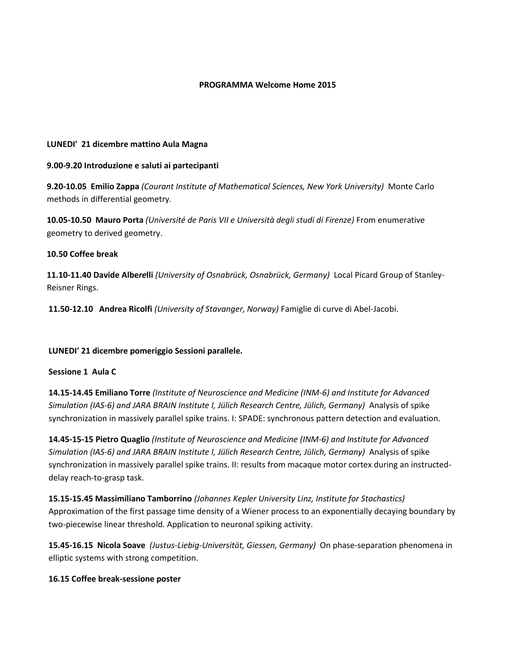## **PROGRAMMA Welcome Home 2015**

## **LUNEDI' 21 dicembre mattino Aula Magna**

## **9.00-9.20 Introduzione e saluti ai partecipanti**

**9.20-10.05 Emilio Zappa** *(Courant Institute of Mathematical Sciences, New York University)* Monte Carlo methods in differential geometry.

**10.05-10.50 Mauro Porta** *(Université de Paris VII e Università degli studi di Firenze)* From enumerative geometry to derived geometry.

## **10.50 Coffee break**

**11.10-11.40 Davide Albe***re***lli** *(University of Osnabrück, Osnabrück, Germany)* Local Picard Group of Stanley-Reisner Rings.

**11.50-12.10 Andrea Ricolfi** *(University of Stavanger, Norway)* Famiglie di curve di Abel-Jacobi.

# **LUNEDI' 21 dicembre pomeriggio Sessioni parallele.**

#### **Sessione 1 Aula C**

**14.15-14.45 Emiliano Torre** *(Institute of Neuroscience and Medicine (INM-6) and Institute for Advanced Simulation (IAS-6) and JARA BRAIN Institute I, Jülich Research Centre, Jülich, Germany)* Analysis of spike synchronization in massively parallel spike trains. I: SPADE: synchronous pattern detection and evaluation.

**14.45-15-15 Pietro Quaglio** *(Institute of Neuroscience and Medicine (INM-6) and Institute for Advanced Simulation (IAS-6) and JARA BRAIN Institute I, Jülich Research Centre, Jülich, Germany)* Analysis of spike synchronization in massively parallel spike trains. II: results from macaque motor cortex during an instructeddelay reach-to-grasp task.

**15.15-15.45 Massimiliano Tamborrino** *(Johannes Kepler University Linz, Institute for Stochastics)* Approximation of the first passage time density of a Wiener process to an exponentially decaying boundary by two-piecewise linear threshold. Application to neuronal spiking activity.

**15.45-16.15 Nicola Soave** *(Justus-Liebig-Universität, Giessen, Germany)* On phase-separation phenomena in elliptic systems with strong competition.

#### **16.15 Coffee break-sessione poster**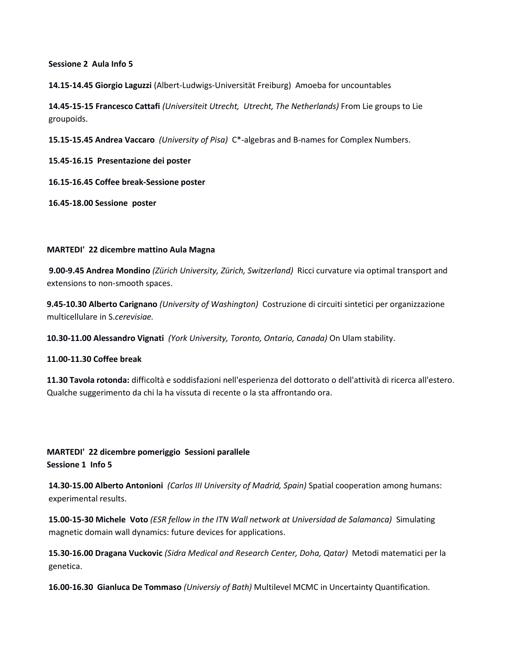**Sessione 2 Aula Info 5**

**14.15-14.45 Giorgio Laguzzi** (Albert-Ludwigs-Universität Freiburg) Amoeba for uncountables

**14.45-15-15 Francesco Cattafi** *(Universiteit Utrecht, Utrecht, The Netherlands)* From Lie groups to Lie groupoids.

**15.15-15.45 Andrea Vaccaro** *(University of Pisa)* C\*-algebras and B-names for Complex Numbers.

**15.45-16.15 Presentazione dei poster**

**16.15-16.45 Coffee break-Sessione poster**

**16.45-18.00 Sessione poster**

## **MARTEDI' 22 dicembre mattino Aula Magna**

**9.00-9.45 Andrea Mondino** *(Zürich University, Zürich, Switzerland)* Ricci curvature via optimal transport and extensions to non-smooth spaces.

**9.45-10.30 Alberto Carignano** *(University of Washington)* Costruzione di circuiti sintetici per organizzazione multicellulare in S.*cerevisiae.*

**10.30-11.00 Alessandro Vignati** *(York University, Toronto, Ontario, Canada)* On Ulam stability.

**11.00-11.30 Coffee break**

**11.30 Tavola rotonda:** difficoltà e soddisfazioni nell'esperienza del dottorato o dell'attività di ricerca all'estero. Qualche suggerimento da chi la ha vissuta di recente o la sta affrontando ora.

# **MARTEDI' 22 dicembre pomeriggio Sessioni parallele Sessione 1 Info 5**

**14.30-15.00 Alberto Antonioni** *(Carlos III University of Madrid, Spain)* Spatial cooperation among humans: experimental results.

**15.00-15-30 Michele Voto** *(ESR fellow in the ITN Wall network at Universidad de Salamanca)* Simulating magnetic domain wall dynamics: future devices for applications.

**15.30-16.00 Dragana Vuckovic** *(Sidra Medical and Research Center, Doha, Qatar)* Metodi matematici per la genetica.

**16.00-16.30 Gianluca De Tommaso** *(Universiy of Bath)* Multilevel MCMC in Uncertainty Quantification.